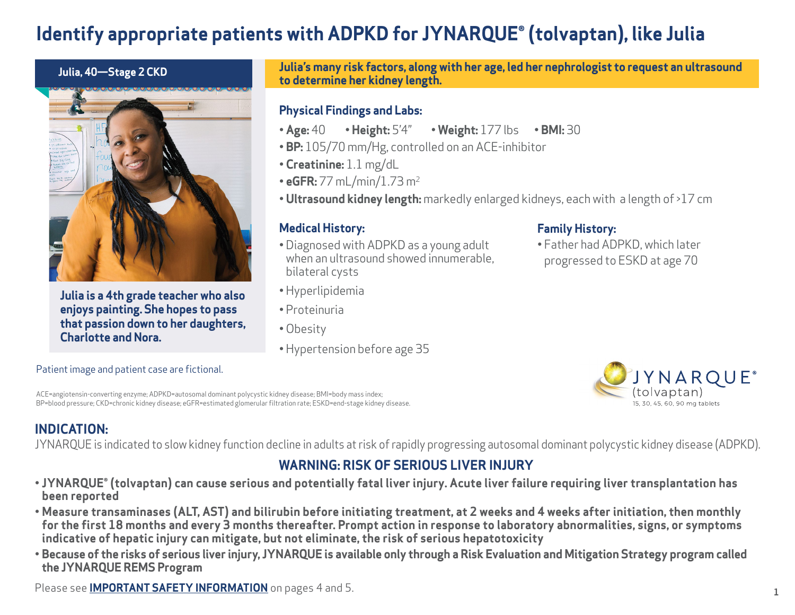# **Identify appropriate patients with ADPKD for JYNARQUE® (tolvaptan), like Julia**

#### **Julia, 40—Stage 2 CKD**



**Julia is a 4th grade teacher who also enjoys painting. She hopes to pass that passion down to her daughters, Charlotte and Nora.**

#### **Julia's many risk factors, along with her age, led her nephrologist to request an ultrasound to determine her kidney length.**

### **Physical Findings and Labs:**

- **Age:** 40 **Height:** 5'4" **Weight:** 177 lbs **BMI:** 30
- **BP:** 105/70 mm/Hg, controlled on an ACE-inhibitor
- **Creatinine:** 1.1 mg/dL
- **eGFR:** 77 mL/min/1.73 m2
- **Ultrasound kidney length:** markedly enlarged kidneys, each with a length of >17 cm

### **Medical History:**

- Diagnosed with ADPKD as a young adult when an ultrasound showed innumerable. bilateral cysts
- Hyperlipidemia
- Proteinuria
- Obesity
- Hypertension before age 35

#### **Family History:**

• Father had ADPKD, which later progressed to ESKD at age 70



Patient image and patient case are fictional.

ACE=angiotensin-converting enzyme; ADPKD=autosomal dominant polycystic kidney disease; BMI=body mass index; BP=blood pressure; CKD=chronic kidney disease; eGFR=estimated glomerular filtration rate; ESKD=end-stage kidney disease.

## **INDICATION:**

JYNARQUE is indicated to slow kidney function decline in adults at risk of rapidly progressing autosomal dominant polycystic kidney disease (ADPKD).

# **WARNING: RISK OF SERIOUS LIVER INJURY**

- **JYNARQUE® (tolvaptan) can cause serious and potentially fatal liver injury. Acute liver failure requiring liver transplantation has been reported**
- **Measure transaminases (ALT, AST) and bilirubin before initiating treatment, at 2 weeks and 4 weeks after initiation, then monthly for the first 18 months and every 3 months thereafter. Prompt action in response to laboratory abnormalities, signs, or symptoms indicative of hepatic injury can mitigate, but not eliminate, the risk of serious hepatotoxicity**
- **Because of the risks of serious liver injury, JYNARQUE is available only through a Risk Evaluation and Mitigation Strategy program called the JYNARQUE REMS Program**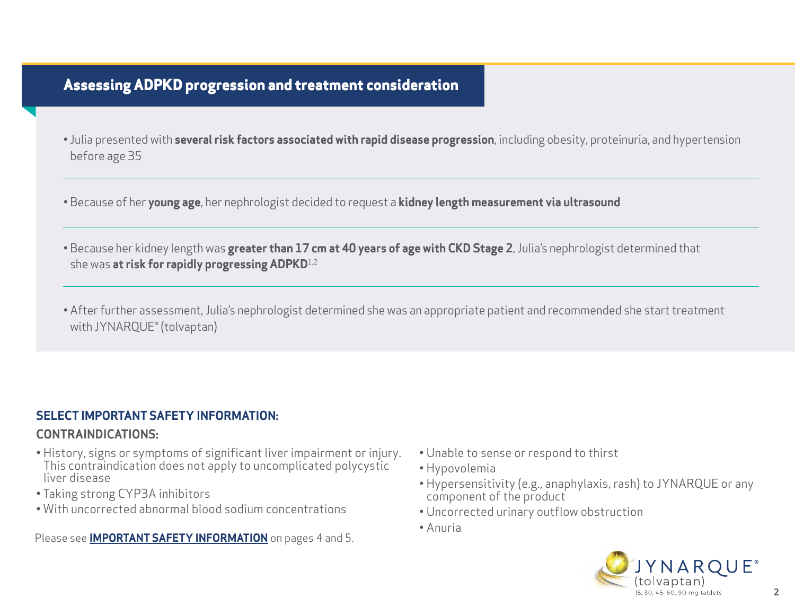## **Assessing ADPKD progression and treatment consideration**

- Julia presented with **several risk factors associated with rapid disease progression**, including obesity, proteinuria, and hypertension before age 35
- Because of her **young age**, her nephrologist decided to request a **kidney length measurement via ultrasound**
- Because her kidney length was **greater than 17 cm at 40 years of age with CKD Stage 2**, Julia's nephrologist determined that she was **at risk for rapidly progressing ADPKD**1,2
- After further assessment, Julia's nephrologist determined she was an appropriate patient and recommended she start treatment with JYNARQUE® (tolvaptan)

#### **SELECT IMPORTANT SAFETY INFORMATION:**

#### **CONTRAINDICATIONS:**

- History, signs or symptoms of significant liver impairment or injury. This contraindication does not apply to uncomplicated polycystic liver disease
- Taking strong CYP3A inhibitors
- With uncorrected abnormal blood sodium concentrations

- Unable to sense or respond to thirst
- Hypovolemia
- Hypersensitivity (e.g., anaphylaxis, rash) to JYNARQUE or any component of the product
- Uncorrected urinary outflow obstruction
- Anuria

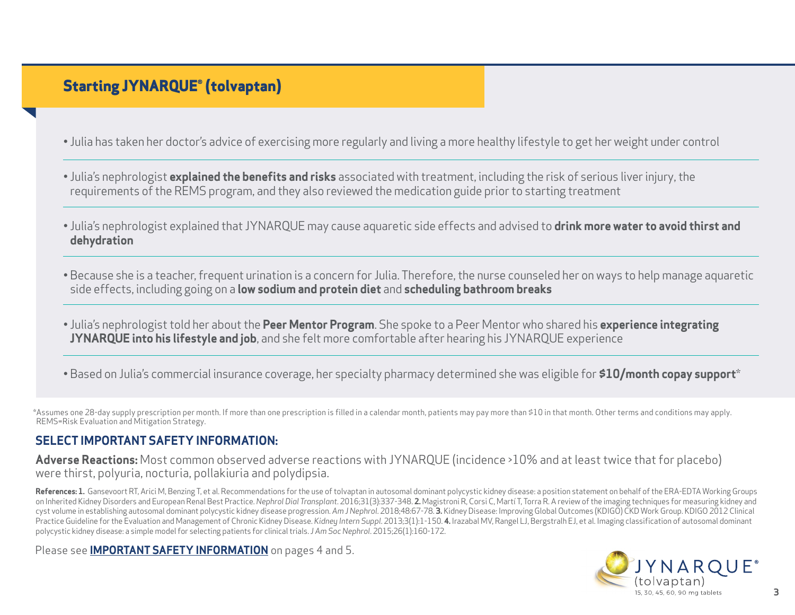# **Starting JYNARQUE® (tolvaptan)**

- Julia has taken her doctor's advice of exercising more regularly and living a more healthy lifestyle to get her weight under control
- Julia's nephrologist **explained the benefits and risks** associated with treatment, including the risk of serious liver injury, the requirements of the REMS program, and they also reviewed the medication guide prior to starting treatment
- Julia's nephrologist explained that JYNARQUE may cause aquaretic side effects and advised to **drink more water to avoid thirst and dehydration**
- Because she is a teacher, frequent urination is a concern for Julia. Therefore, the nurse counseled her on ways to help manage aquaretic side effects, including going on a **low sodium and protein diet** and **scheduling bathroom breaks**
- Julia's nephrologist told her about the **Peer Mentor Program**. She spoke to a Peer Mentor who shared his **experience integrating JYNARQUE into his lifestyle and job**, and she felt more comfortable after hearing his JYNARQUE experience
- Based on Julia's commercial insurance coverage, her specialty pharmacy determined she was eligible for **\$10/month copay support**\*

\*Assumes one 28-day supply prescription per month. If more than one prescription is filled in a calendar month, patients may pay more than \$10 in that month. Other terms and conditions may apply. REMS=Risk Evaluation and Mitigation Strategy.

#### **SELECT IMPORTANT SAFETY INFORMATION:**

**Adverse Reactions:** Most common observed adverse reactions with JYNARQUE (incidence >10% and at least twice that for placebo) were thirst, polyuria, nocturia, pollakiuria and polydipsia.

References: 1. Gansevoort RT, Arici M, Benzing T, et al. Recommendations for the use of tolvaptan in autosomal dominant polycystic kidney disease: a position statement on behalf of the ERA-EDTA Working Groups on Inherited Kidney Disorders and European Renal Best Practice. Nephrol Dial Transplant. 2016;31(3):337-348. 2. Magistroni R, Corsi C, Martí T, Torra R. A review of the imaging techniques for measuring kidney and cyst volume in establishing autosomal dominant polycystic kidney disease progression. *Am J Nephrol*. 2018;48:67-78. **3.** Kidney Disease: Improving Global Outcomes (KDIGO) CKD Work Group. KDIGO 2012 Clinical Practice Guideline for the Evaluation and Management of Chronic Kidney Disease. Kidney Intern Suppl. 2013;3(1):1-150. 4. Irazabal MV, Rangel LJ, Bergstralh EJ, et al. Imaging classification of autosomal dominant polycystic kidney disease: a simple model for selecting patients for clinical trials. *J Am Soc Nephrol*. 2015;26(1):160-172.

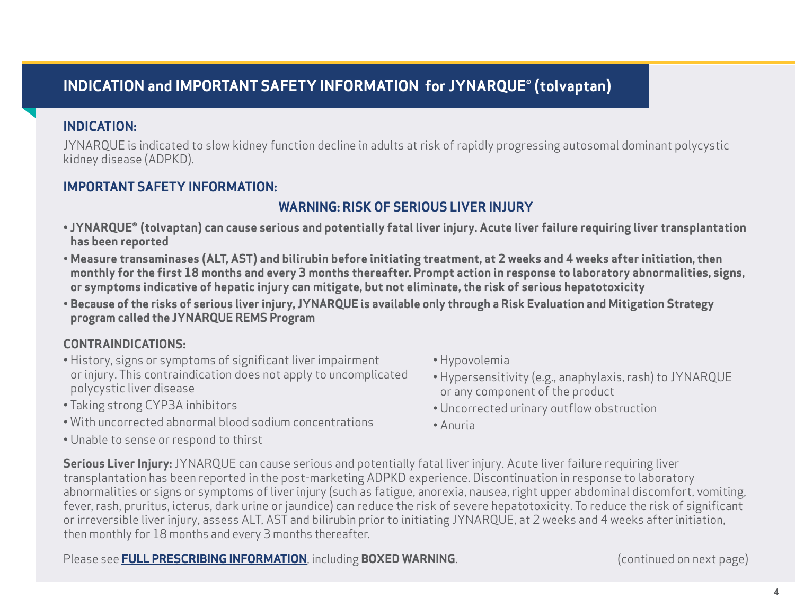# <span id="page-3-0"></span>**INDICATION and IMPORTANT SAFETY INFORMATION for JYNARQUE® (tolvaptan)**

## **INDICATION:**

JYNARQUE is indicated to slow kidney function decline in adults at risk of rapidly progressing autosomal dominant polycystic kidney disease (ADPKD).

#### **IMPORTANT SAFETY INFORMATION:**

### **WARNING: RISK OF SERIOUS LIVER INJURY**

- **JYNARQUE® (tolvaptan) can cause serious and potentially fatal liver injury. Acute liver failure requiring liver transplantation has been reported**
- **Measure transaminases (ALT, AST) and bilirubin before initiating treatment, at 2 weeks and 4 weeks after initiation, then monthly for the first 18 months and every 3 months thereafter. Prompt action in response to laboratory abnormalities, signs, or symptoms indicative of hepatic injury can mitigate, but not eliminate, the risk of serious hepatotoxicity**
- **Because of the risks of serious liver injury, JYNARQUE is available only through a Risk Evaluation and Mitigation Strategy program called the JYNARQUE REMS Program**

#### **CONTRAINDICATIONS:**

- History, signs or symptoms of significant liver impairment or injury. This contraindication does not apply to uncomplicated polycystic liver disease
- Taking strong CYP3A inhibitors
- With uncorrected abnormal blood sodium concentrations
- Unable to sense or respond to thirst
- Hypovolemia
- Hypersensitivity (e.g., anaphylaxis, rash) to JYNARQUE or any component of the product
- Uncorrected urinary outflow obstruction
- Anuria

**Serious Liver Injury:** JYNARQUE can cause serious and potentially fatal liver injury. Acute liver failure requiring liver transplantation has been reported in the post-marketing ADPKD experience. Discontinuation in response to laboratory abnormalities or signs or symptoms of liver injury (such as fatigue, anorexia, nausea, right upper abdominal discomfort, vomiting, fever, rash, pruritus, icterus, dark urine or jaundice) can reduce the risk of severe hepatotoxicity. To reduce the risk of significant or irreversible liver injury, assess ALT, AST and bilirubin prior to initiating JYNARQUE, at 2 weeks and 4 weeks after initiation, then monthly for 18 months and every 3 months thereafter.

Please see **[FULL PRESCRIBING INFORMATION](https://www.otsuka-us.com/sites/g/files/qhldwo3326/files/media/static/JYNARQUE-PI.pdf)**, including **BOXED WARNING**.

(continued on next page)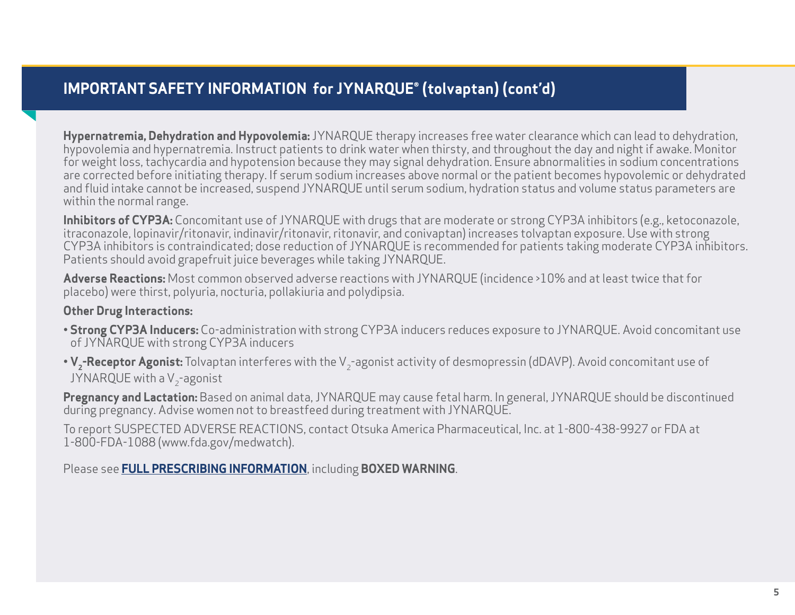# **IMPORTANT SAFETY INFORMATION for JYNARQUE® (tolvaptan) (cont'd)**

**Hypernatremia, Dehydration and Hypovolemia:** JYNARQUE therapy increases free water clearance which can lead to dehydration, hypovolemia and hypernatremia. Instruct patients to drink water when thirsty, and throughout the day and night if awake. Monitor for weight loss, tachycardia and hypotension because they may signal dehydration. Ensure abnormalities in sodium concentrations are corrected before initiating therapy. If serum sodium increases above normal or the patient becomes hypovolemic or dehydrated and fluid intake cannot be increased, suspend JYNARQUE until serum sodium, hydration status and volume status parameters are within the normal range.

**Inhibitors of CYP3A:** Concomitant use of JYNARQUE with drugs that are moderate or strong CYP3A inhibitors (e.g., ketoconazole, itraconazole, lopinavir/ritonavir, indinavir/ritonavir, ritonavir, and conivaptan) increases tolvaptan exposure. Use with strong CYP3A inhibitors is contraindicated; dose reduction of JYNARQUE is recommended for patients taking moderate CYP3A inhibitors. Patients should avoid grapefruit juice beverages while taking JYNARQUE.

**Adverse Reactions:** Most common observed adverse reactions with JYNARQUE (incidence >10% and at least twice that for placebo) were thirst, polyuria, nocturia, pollakiuria and polydipsia.

#### **Other Drug Interactions:**

- **Strong CYP3A Inducers:** Co-administration with strong CYP3A inducers reduces exposure to JYNARQUE. Avoid concomitant use of JYNARQUE with strong CYP3A inducers
- V<sub>2</sub>-Receptor Agonist: Tolvaptan interferes with the V<sub>2</sub>-agonist activity of desmopressin (dDAVP). Avoid concomitant use of JYNARQUE with a  $V<sub>2</sub>$ -agonist

**Pregnancy and Lactation:** Based on animal data, JYNARQUE may cause fetal harm. In general, JYNARQUE should be discontinued during pregnancy. Advise women not to breastfeed during treatment with JYNARQUE.

To report SUSPECTED ADVERSE REACTIONS, contact Otsuka America Pharmaceutical, Inc. at 1-800-438-9927 or FDA at 1-800-FDA-1088 (www.fda.gov/medwatch).

Please see **[FULL PRESCRIBING INFORMATION](https://www.otsuka-us.com/sites/g/files/qhldwo3326/files/media/static/JYNARQUE-PI.pdf)**, including **BOXED WARNING**.